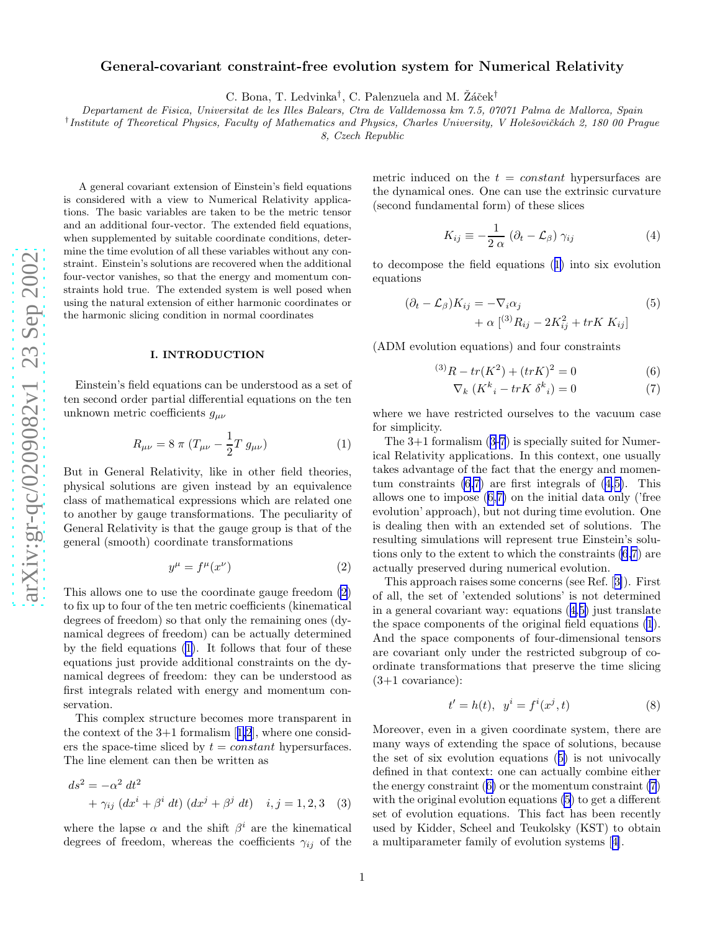## <span id="page-0-0"></span>General-covariant constraint-free evolution system for Numerical Relativity

C. Bona, T. Ledvinka<sup>†</sup>, C. Palenzuela and M. Žáček<sup>†</sup>

*Departament de Fisica, Universitat de les Illes Balears, Ctra de Valldemossa km 7.5, 07071 Palma de Mallorca, Spain*

<sup>†</sup> Institute of Theoretical Physics, Faculty of Mathematics and Physics, Charles University, V Holešovičkách 2, 180 00 Prague

*8, Czech Republic*

A general covariant extension of Einstein's field equations is considered with a view to Numerical Relativity applications. The basic variables are taken to be the metric tensor and an additional four-vector. The extended field equations , when supplemented by suitable coordinate conditions, determine the time evolution of all these variables without any constraint. Einstein's solutions are recovered when the additional four-vector vanishes, so that the energy and momentum constraints hold true. The extended system is well posed when using the natural extension of either harmonic coordinates or the harmonic slicing condition in normal coordinates

## I. INTRODUCTION

Einstein's field equations can be understood as a set of ten second order partial differential equations on the ten unknown metric coefficients  $g_{\mu\nu}$ 

$$
R_{\mu\nu} = 8 \pi (T_{\mu\nu} - \frac{1}{2} T g_{\mu\nu})
$$
 (1)

But in General Relativity, like in other field theories, physical solutions are given instead by an equivalence class of mathematical expressions which are related one to another by gauge transformations. The peculiarity of General Relativity is that the gauge group is that of the general (smooth) coordinate transformations

$$
y^{\mu} = f^{\mu}(x^{\nu}) \tag{2}
$$

This allows one to use the coordinate gauge freedom (2) to fix up to four of the ten metric coefficients (kinematical degrees of freedom) so that only the remaining ones (dynamical degrees of freedom) can be actually determined by the field equations (1). It follows that four of these equations just provide additional constraints on the dynamical degrees of freedom: they can be understood as first integrals related with energy and momentum conservation.

This complex structure becomes more transparent in thecontext of the  $3+1$  formalism  $[1,2]$  $[1,2]$  $[1,2]$ , where one considers the space-time sliced by  $t = constant$  hypersurfaces. The line element can then be written as

$$
ds^{2} = -\alpha^{2} dt^{2}
$$
  
+  $\gamma_{ij} (dx^{i} + \beta^{i} dt) (dx^{j} + \beta^{j} dt) i, j = 1, 2, 3$  (3)

where the lapse  $\alpha$  and the shift  $\beta^i$  are the kinematical degrees of freedom, whereas the coefficients  $\gamma_{ij}$  of the

metric induced on the  $t = constant$  hypersurfaces are the dynamical ones. One can use the extrinsic curvature (second fundamental form) of these slices

$$
K_{ij} \equiv -\frac{1}{2 \alpha} \left( \partial_t - \mathcal{L}_{\beta} \right) \gamma_{ij} \tag{4}
$$

to decompose the field equations (1) into six evolution equations

$$
(\partial_t - \mathcal{L}_\beta) K_{ij} = -\nabla_i \alpha_j
$$
  
+ 
$$
\alpha \left[ {}^{(3)}R_{ij} - 2K_{ij}^2 + trK K_{ij} \right]
$$
 (5)

(ADM evolution equations) and four constraints

$$
^{(3)}R - tr(K^2) + (trK)^2 = 0
$$
\n(6)

$$
\nabla_k \left( K^k{}_i - trK \delta^k{}_i \right) = 0 \tag{7}
$$

where we have restricted ourselves to the vacuum case for simplicity.

The 3+1 formalism (3-7) is specially suited for Numerical Relativity applications. In this context, one usually takes advantage of the fact that the energy and momentum constraints  $(6,7)$  are first integrals of  $(4,5)$ . This allows one to impose (6,7) on the initial data only ('free evolution' approach), but not during time evolution. One is dealing then with an extended set of solutions. The resulting simulations will represent true Einstein's solutions only to the extent to which the constraints (6,7) are actually preserved during numerical evolution.

This approach raises some concerns (see Ref.[[3\]](#page-2-0)). First of all, the set of 'extended solutions' is not determined in a general covariant way: equations  $(4.5)$  just translate the space components of the original field equations (1). And the space components of four-dimensional tensors are covariant only under the restricted subgroup of coordinate transformations that preserve the time slicing (3+1 covariance):

$$
t' = h(t), \ \ y^i = f^i(x^j, t) \tag{8}
$$

Moreover, even in a given coordinate system, there are many ways of extending the space of solutions, because the set of six evolution equations (5) is not univocally defined in that context: one can actually combine either the energy constraint (6) or the momentum constraint (7) with the original evolution equations  $(5)$  to get a different set of evolution equations. This fact has been recently used by Kidder, Scheel and Teukolsky (KST) to obtain a multiparameter family of evolution systems[[4\]](#page-2-0).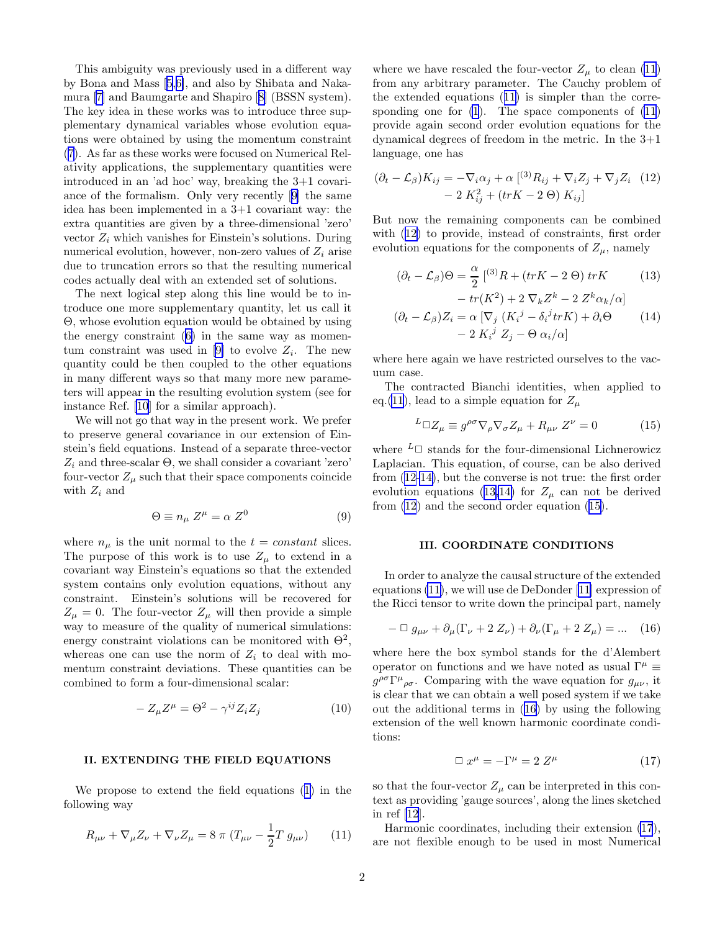<span id="page-1-0"></span>This ambiguity was previously used in a different way by Bona and Mass[[5,6\]](#page-2-0), and also by Shibata and Nakamura[[7\]](#page-2-0) and Baumgarte and Shapiro[[8\]](#page-2-0) (BSSN system). The key idea in these works was to introduce three supplementary dynamical variables whose evolution equations were obtained by using the momentum constraint ([7\)](#page-0-0). As far as these works were focused on Numerical Relativity applications, the supplementary quantities were introduced in an 'ad hoc' way, breaking the 3+1 covariance of the formalism. Only very recently[[9\]](#page-2-0) the same idea has been implemented in a 3+1 covariant way: the extra quantities are given by a three-dimensional 'zero' vector  $Z_i$  which vanishes for Einstein's solutions. During numerical evolution, however, non-zero values of  $Z_i$  arise due to truncation errors so that the resulting numerical codes actually deal with an extended set of solutions.

The next logical step along this line would be to introduce one more supplementary quantity, let us call it Θ, whose evolution equation would be obtained by using the energy constraint([6\)](#page-0-0) in the same way as momen-tum constraint was used in [\[9\]](#page-2-0) to evolve  $Z_i$ . The new quantity could be then coupled to the other equations in many different ways so that many more new parameters will appear in the resulting evolution system (see for instance Ref. [\[10](#page-2-0)] for a similar approach).

We will not go that way in the present work. We prefer to preserve general covariance in our extension of Einstein's field equations. Instead of a separate three-vector  $Z_i$  and three-scalar  $\Theta$ , we shall consider a covariant 'zero' four-vector  $Z_{\mu}$  such that their space components coincide with  $Z_i$  and

$$
\Theta \equiv n_{\mu} Z^{\mu} = \alpha Z^{0} \tag{9}
$$

where  $n_{\mu}$  is the unit normal to the  $t = constant$  slices. The purpose of this work is to use  $Z_{\mu}$  to extend in a covariant way Einstein's equations so that the extended system contains only evolution equations, without any constraint. Einstein's solutions will be recovered for  $Z_{\mu} = 0$ . The four-vector  $Z_{\mu}$  will then provide a simple way to measure of the quality of numerical simulations: energy constraint violations can be monitored with  $\Theta^2$ , whereas one can use the norm of  $Z_i$  to deal with momentum constraint deviations. These quantities can be combined to form a four-dimensional scalar:

$$
-Z_{\mu}Z^{\mu} = \Theta^2 - \gamma^{ij} Z_i Z_j \tag{10}
$$

## II. EXTENDING THE FIELD EQUATIONS

We propose to extend the field equations([1\)](#page-0-0) in the following way

$$
R_{\mu\nu} + \nabla_{\mu} Z_{\nu} + \nabla_{\nu} Z_{\mu} = 8 \pi (T_{\mu\nu} - \frac{1}{2} T g_{\mu\nu}) \qquad (11)
$$

where we have rescaled the four-vector  $Z_{\mu}$  to clean (11) from any arbitrary parameter. The Cauchy problem of the extended equations (11) is simpler than the corresponding one for  $(1)$ . The space components of  $(11)$ provide again second order evolution equations for the dynamical degrees of freedom in the metric. In the 3+1 language, one has

$$
(\partial_t - \mathcal{L}_\beta) K_{ij} = -\nabla_i \alpha_j + \alpha \left[ {}^{(3)}R_{ij} + \nabla_i Z_j + \nabla_j Z_i \right] \tag{12}
$$

$$
- 2 K_{ij}^2 + (trK - 2 \Theta) K_{ij}
$$

But now the remaining components can be combined with (12) to provide, instead of constraints, first order evolution equations for the components of  $Z_{\mu}$ , namely

$$
(\partial_t - \mathcal{L}_\beta)\Theta = \frac{\alpha}{2} \left[ {}^{(3)}R + (trK - 2\Theta) \, trK \right] \tag{13}
$$

$$
-tr(K^{2}) + 2 \nabla_{k} Z^{k} - 2 Z^{k} \alpha_{k}/\alpha
$$

$$
(\partial_{t} - \mathcal{L}_{\beta})Z_{i} = \alpha \left[\nabla_{j} (K_{i}{}^{j} - \delta_{i}{}^{j} tr K) + \partial_{i} \Theta \right]
$$

$$
- 2 K_{i}{}^{j} Z_{j} - \Theta \alpha_{i}/\alpha
$$
(14)

where here again we have restricted ourselves to the vacuum case.

The contracted Bianchi identities, when applied to eq.(11), lead to a simple equation for  $Z_\mu$ 

$$
{}^{L}\Box Z_{\mu} \equiv g^{\rho\sigma}\nabla_{\rho}\nabla_{\sigma}Z_{\mu} + R_{\mu\nu}Z^{\nu} = 0 \tag{15}
$$

where  $L \Box$  stands for the four-dimensional Lichnerowicz Laplacian. This equation, of course, can be also derived from (12-14), but the converse is not true: the first order evolution equations (13,14) for  $Z_u$  can not be derived from (12) and the second order equation (15).

## III. COORDINATE CONDITIONS

In order to analyze the causal structure of the extended equations (11), we will use de DeDonder [\[11](#page-2-0)] expression of the Ricci tensor to write down the principal part, namely

$$
-\Box g_{\mu\nu} + \partial_{\mu}(\Gamma_{\nu} + 2 Z_{\nu}) + \partial_{\nu}(\Gamma_{\mu} + 2 Z_{\mu}) = \dots (16)
$$

where here the box symbol stands for the d'Alembert operator on functions and we have noted as usual  $\Gamma^{\mu} \equiv$  $g^{\rho\sigma}\Gamma^{\mu}{}_{\rho\sigma}$ . Comparing with the wave equation for  $g_{\mu\nu}$ , it is clear that we can obtain a well posed system if we take out the additional terms in (16) by using the following extension of the well known harmonic coordinate conditions:

$$
\Box x^{\mu} = -\Gamma^{\mu} = 2 Z^{\mu} \tag{17}
$$

so that the four-vector  $Z_{\mu}$  can be interpreted in this context as providing 'gauge sources', along the lines sketched in ref [\[12](#page-2-0)].

Harmonic coordinates, including their extension (17), are not flexible enough to be used in most Numerical